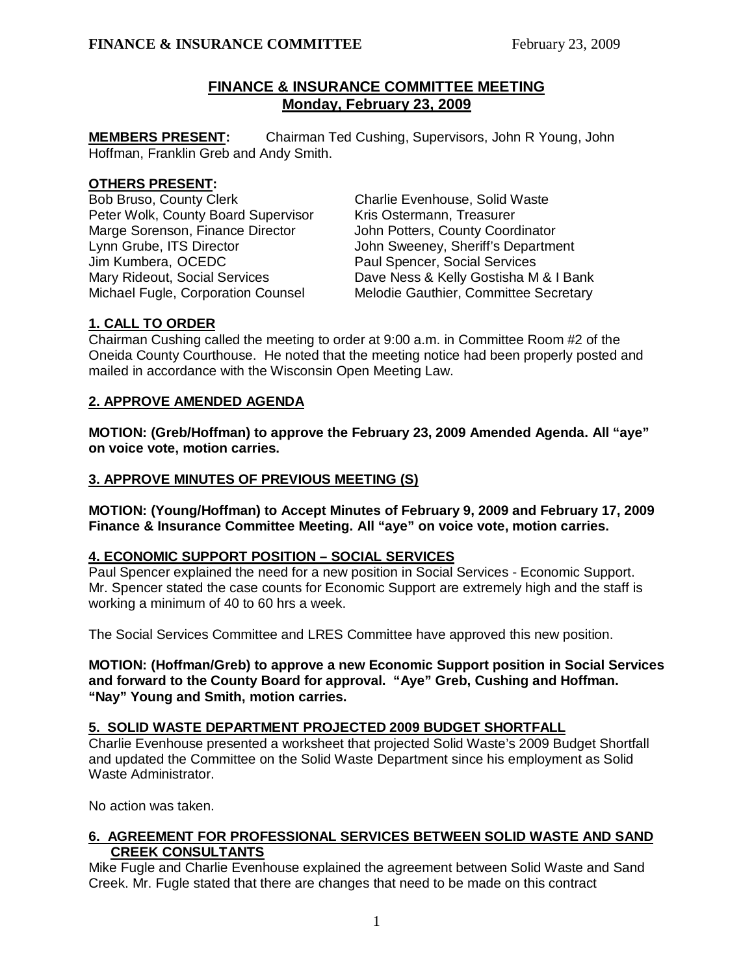# **FINANCE & INSURANCE COMMITTEE MEETING Monday, February 23, 2009**

**MEMBERS PRESENT:** Chairman Ted Cushing, Supervisors, John R Young, John Hoffman, Franklin Greb and Andy Smith.

### **OTHERS PRESENT:**

Bob Bruso, County Clerk Charlie Evenhouse, Solid Waste Peter Wolk, County Board Supervisor Kris Ostermann, Treasurer Marge Sorenson, Finance Director John Potters, County Coordinator Lynn Grube, ITS Director **John Sweeney, Sheriff's Department** Jim Kumbera, OCEDC<br>
Mary Rideout, Social Services<br>
Dave Ness & Kelly Gostisha M

Dave Ness & Kelly Gostisha M & I Bank Michael Fugle, Corporation Counsel Melodie Gauthier, Committee Secretary

## **1. CALL TO ORDER**

Chairman Cushing called the meeting to order at 9:00 a.m. in Committee Room #2 of the Oneida County Courthouse. He noted that the meeting notice had been properly posted and mailed in accordance with the Wisconsin Open Meeting Law.

# **2. APPROVE AMENDED AGENDA**

**MOTION: (Greb/Hoffman) to approve the February 23, 2009 Amended Agenda. All "aye" on voice vote, motion carries.** 

### **3. APPROVE MINUTES OF PREVIOUS MEETING (S)**

**MOTION: (Young/Hoffman) to Accept Minutes of February 9, 2009 and February 17, 2009 Finance & Insurance Committee Meeting. All "aye" on voice vote, motion carries.** 

## **4. ECONOMIC SUPPORT POSITION – SOCIAL SERVICES**

Paul Spencer explained the need for a new position in Social Services - Economic Support. Mr. Spencer stated the case counts for Economic Support are extremely high and the staff is working a minimum of 40 to 60 hrs a week.

The Social Services Committee and LRES Committee have approved this new position.

 **MOTION: (Hoffman/Greb) to approve a new Economic Support position in Social Services and forward to the County Board for approval. "Aye" Greb, Cushing and Hoffman. "Nay" Young and Smith, motion carries.** 

#### **5. SOLID WASTE DEPARTMENT PROJECTED 2009 BUDGET SHORTFALL**

Charlie Evenhouse presented a worksheet that projected Solid Waste's 2009 Budget Shortfall and updated the Committee on the Solid Waste Department since his employment as Solid Waste Administrator.

No action was taken.

## **6. AGREEMENT FOR PROFESSIONAL SERVICES BETWEEN SOLID WASTE AND SAND CREEK CONSULTANTS**

Mike Fugle and Charlie Evenhouse explained the agreement between Solid Waste and Sand Creek. Mr. Fugle stated that there are changes that need to be made on this contract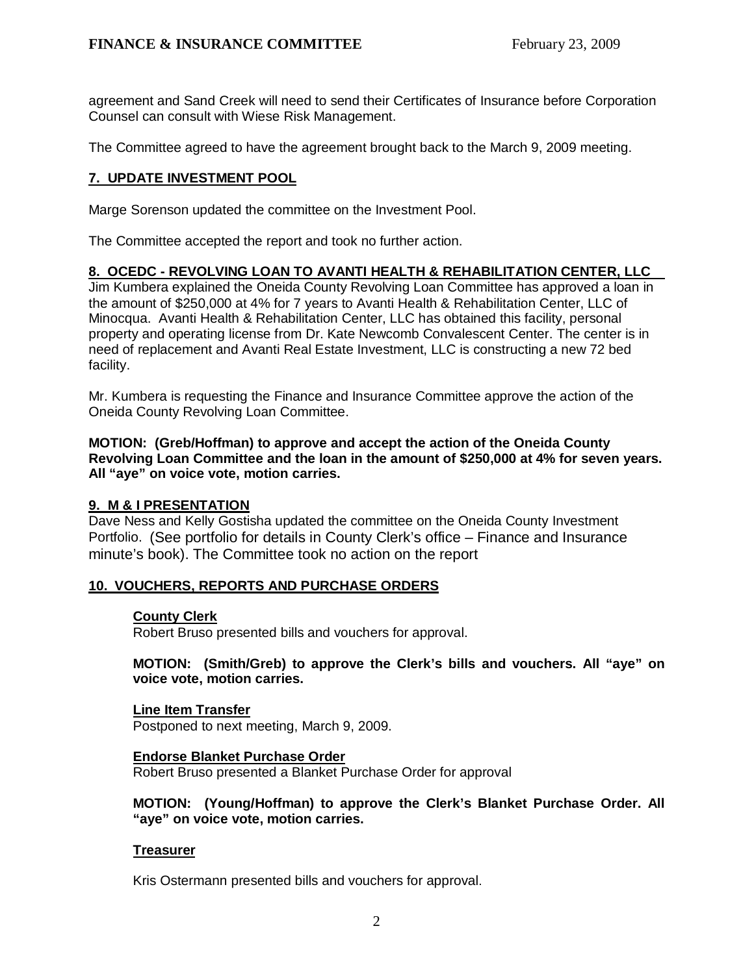agreement and Sand Creek will need to send their Certificates of Insurance before Corporation Counsel can consult with Wiese Risk Management.

The Committee agreed to have the agreement brought back to the March 9, 2009 meeting.

## **7. UPDATE INVESTMENT POOL**

Marge Sorenson updated the committee on the Investment Pool.

The Committee accepted the report and took no further action.

#### **8. OCEDC - REVOLVING LOAN TO AVANTI HEALTH & REHABILITATION CENTER, LLC**

Jim Kumbera explained the Oneida County Revolving Loan Committee has approved a loan in the amount of \$250,000 at 4% for 7 years to Avanti Health & Rehabilitation Center, LLC of Minocqua. Avanti Health & Rehabilitation Center, LLC has obtained this facility, personal property and operating license from Dr. Kate Newcomb Convalescent Center. The center is in need of replacement and Avanti Real Estate Investment, LLC is constructing a new 72 bed facility.

 Mr. Kumbera is requesting the Finance and Insurance Committee approve the action of the Oneida County Revolving Loan Committee.

 **MOTION: (Greb/Hoffman) to approve and accept the action of the Oneida County Revolving Loan Committee and the loan in the amount of \$250,000 at 4% for seven years. All "aye" on voice vote, motion carries.** 

#### **9. M & I PRESENTATION**

Dave Ness and Kelly Gostisha updated the committee on the Oneida County Investment Portfolio. (See portfolio for details in County Clerk's office – Finance and Insurance minute's book). The Committee took no action on the report

## **10. VOUCHERS, REPORTS AND PURCHASE ORDERS**

#### **County Clerk**

Robert Bruso presented bills and vouchers for approval.

### **MOTION: (Smith/Greb) to approve the Clerk's bills and vouchers. All "aye" on voice vote, motion carries.**

#### **Line Item Transfer**

Postponed to next meeting, March 9, 2009.

#### **Endorse Blanket Purchase Order**

Robert Bruso presented a Blanket Purchase Order for approval

### **MOTION: (Young/Hoffman) to approve the Clerk's Blanket Purchase Order. All "aye" on voice vote, motion carries.**

#### **Treasurer**

Kris Ostermann presented bills and vouchers for approval.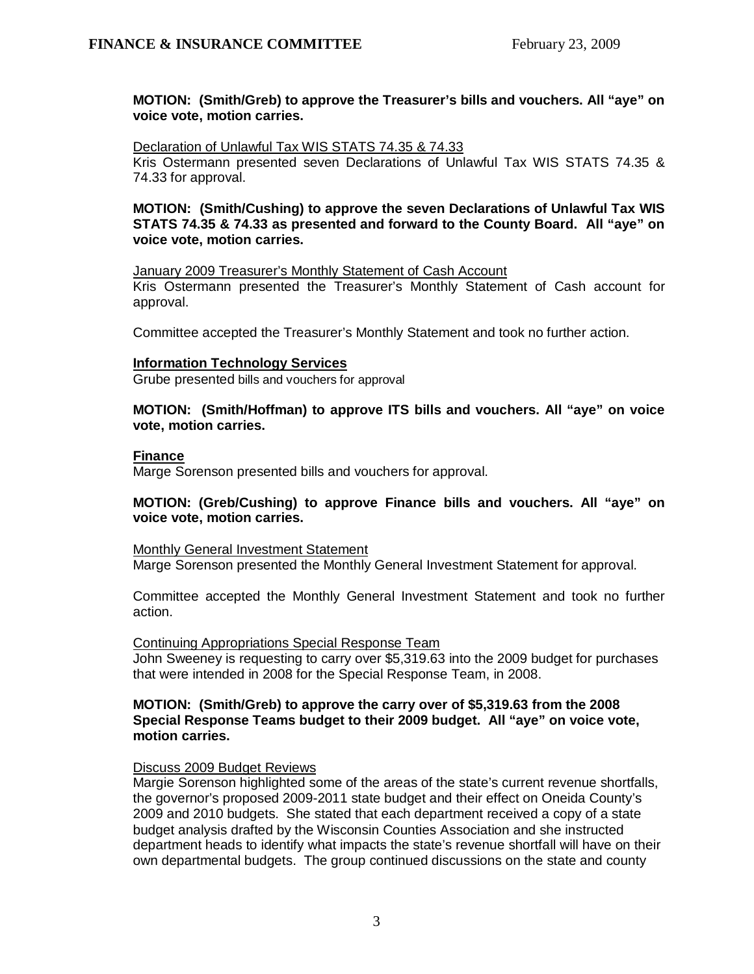### **MOTION: (Smith/Greb) to approve the Treasurer's bills and vouchers. All "aye" on voice vote, motion carries.**

 Declaration of Unlawful Tax WIS STATS 74.35 & 74.33 Kris Ostermann presented seven Declarations of Unlawful Tax WIS STATS 74.35 & 74.33 for approval.

**MOTION: (Smith/Cushing) to approve the seven Declarations of Unlawful Tax WIS STATS 74.35 & 74.33 as presented and forward to the County Board. All "aye" on voice vote, motion carries.**

January 2009 Treasurer's Monthly Statement of Cash Account

Kris Ostermann presented the Treasurer's Monthly Statement of Cash account for approval.

Committee accepted the Treasurer's Monthly Statement and took no further action.

#### **Information Technology Services**

Grube presented bills and vouchers for approval

**MOTION: (Smith/Hoffman) to approve ITS bills and vouchers. All "aye" on voice vote, motion carries.** 

#### **Finance**

Marge Sorenson presented bills and vouchers for approval.

#### **MOTION: (Greb/Cushing) to approve Finance bills and vouchers. All "aye" on voice vote, motion carries.**

#### Monthly General Investment Statement

Marge Sorenson presented the Monthly General Investment Statement for approval.

Committee accepted the Monthly General Investment Statement and took no further action.

#### Continuing Appropriations Special Response Team

John Sweeney is requesting to carry over \$5,319.63 into the 2009 budget for purchases that were intended in 2008 for the Special Response Team, in 2008.

#### **MOTION: (Smith/Greb) to approve the carry over of \$5,319.63 from the 2008 Special Response Teams budget to their 2009 budget. All "aye" on voice vote, motion carries.**

#### Discuss 2009 Budget Reviews

Margie Sorenson highlighted some of the areas of the state's current revenue shortfalls, the governor's proposed 2009-2011 state budget and their effect on Oneida County's 2009 and 2010 budgets. She stated that each department received a copy of a state budget analysis drafted by the Wisconsin Counties Association and she instructed department heads to identify what impacts the state's revenue shortfall will have on their own departmental budgets. The group continued discussions on the state and county